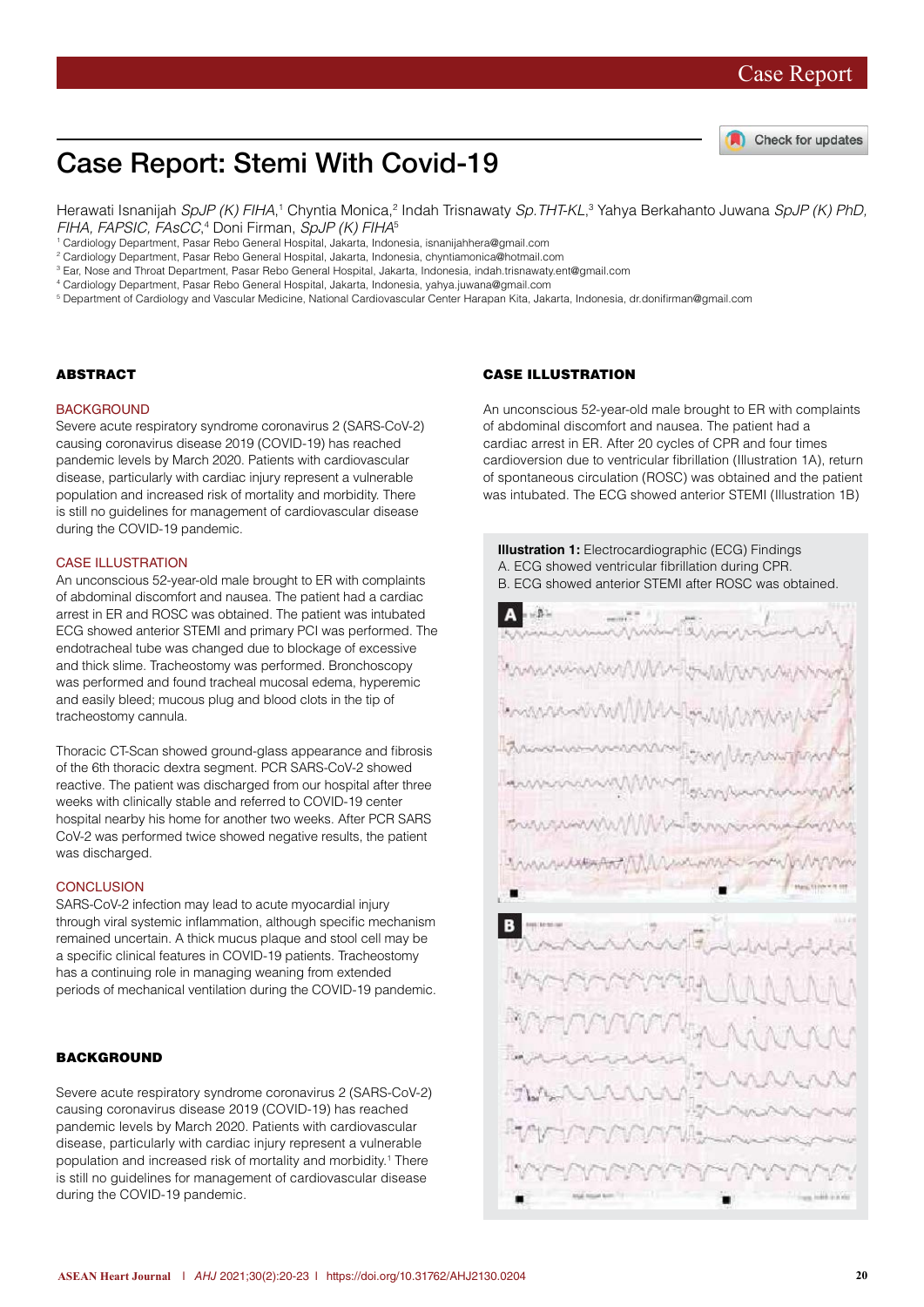

# Case Report: Stemi With Covid-19

Herawati Isnanijah *SpJP (K) FIHA*,1 Chyntia Monica,<sup>2</sup> Indah Trisnawaty *Sp.THT-KL*,3 Yahya Berkahanto Juwana *SpJP (K) PhD, FIHA, FAPSIC, FAsCC*, 4 Doni Firman, *SpJP (K) FIHA*<sup>5</sup>

- 1 Cardiology Department, Pasar Rebo General Hospital, Jakarta, Indonesia, isnanijahhera@gmail.com
- 2 Cardiology Department, Pasar Rebo General Hospital, Jakarta, Indonesia, chyntiamonica@hotmail.com
- 3 Ear, Nose and Throat Department, Pasar Rebo General Hospital, Jakarta, Indonesia, indah.trisnawaty.ent@gmail.com

4 Cardiology Department, Pasar Rebo General Hospital, Jakarta, Indonesia, yahya.juwana@gmail.com

5 Department of Cardiology and Vascular Medicine, National Cardiovascular Center Harapan Kita, Jakarta, Indonesia, dr.donifirman@gmail.com

### **ABSTRACT**

#### **BACKGROUND**

Severe acute respiratory syndrome coronavirus 2 (SARS-CoV-2) causing coronavirus disease 2019 (COVID-19) has reached pandemic levels by March 2020. Patients with cardiovascular disease, particularly with cardiac injury represent a vulnerable population and increased risk of mortality and morbidity. There is still no guidelines for management of cardiovascular disease during the COVID-19 pandemic.

#### CASE ILLUSTRATION

An unconscious 52-year-old male brought to ER with complaints of abdominal discomfort and nausea. The patient had a cardiac arrest in ER and ROSC was obtained. The patient was intubated ECG showed anterior STEMI and primary PCI was performed. The endotracheal tube was changed due to blockage of excessive and thick slime. Tracheostomy was performed. Bronchoscopy was performed and found tracheal mucosal edema, hyperemic and easily bleed; mucous plug and blood clots in the tip of tracheostomy cannula.

Thoracic CT-Scan showed ground-glass appearance and fibrosis of the 6th thoracic dextra segment. PCR SARS-CoV-2 showed reactive. The patient was discharged from our hospital after three weeks with clinically stable and referred to COVID-19 center hospital nearby his home for another two weeks. After PCR SARS CoV-2 was performed twice showed negative results, the patient was discharged.

### **CONCLUSION**

SARS-CoV-2 infection may lead to acute myocardial injury through viral systemic inflammation, although specific mechanism remained uncertain. A thick mucus plaque and stool cell may be a specific clinical features in COVID-19 patients. Tracheostomy has a continuing role in managing weaning from extended periods of mechanical ventilation during the COVID-19 pandemic.

#### BACKGROUND

Severe acute respiratory syndrome coronavirus 2 (SARS-CoV-2) causing coronavirus disease 2019 (COVID-19) has reached pandemic levels by March 2020. Patients with cardiovascular disease, particularly with cardiac injury represent a vulnerable population and increased risk of mortality and morbidity.<sup>1</sup> There is still no guidelines for management of cardiovascular disease during the COVID-19 pandemic.

### CASE ILLUSTRATION

An unconscious 52-year-old male brought to ER with complaints of abdominal discomfort and nausea. The patient had a cardiac arrest in ER. After 20 cycles of CPR and four times cardioversion due to ventricular fibrillation (Illustration 1A), return of spontaneous circulation (ROSC) was obtained and the patient was intubated. The ECG showed anterior STEMI (Illustration 1B)

**Illustration 1:** Electrocardiographic (ECG) Findings

A. ECG showed ventricular fibrillation during CPR. B. ECG showed anterior STEMI after ROSC was obtained.B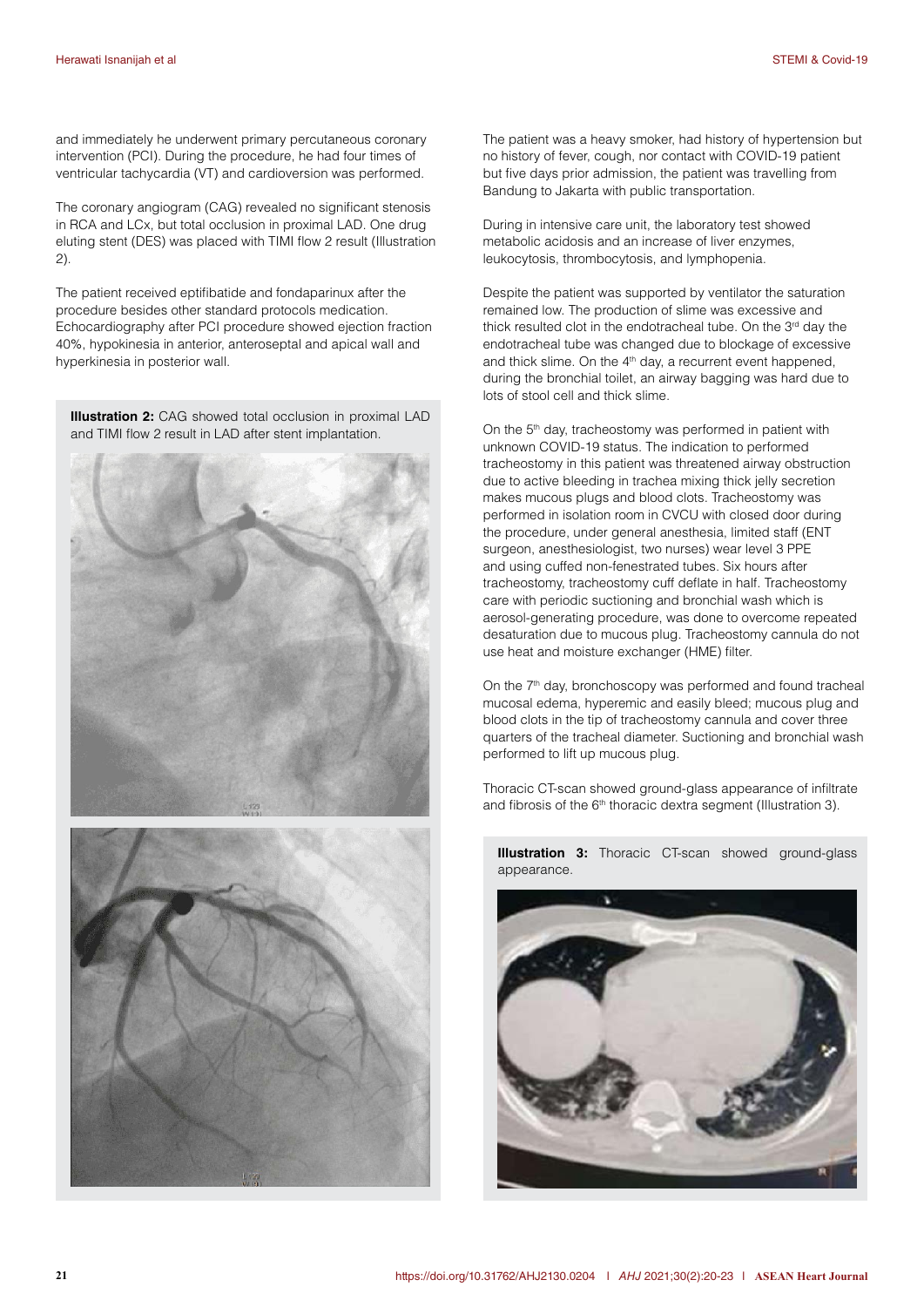and immediately he underwent primary percutaneous coronary intervention (PCI). During the procedure, he had four times of ventricular tachycardia (VT) and cardioversion was performed.

The coronary angiogram (CAG) revealed no significant stenosis in RCA and LCx, but total occlusion in proximal LAD. One drug eluting stent (DES) was placed with TIMI flow 2 result (Illustration 2).

The patient received eptifibatide and fondaparinux after the procedure besides other standard protocols medication. Echocardiography after PCI procedure showed ejection fraction 40%, hypokinesia in anterior, anteroseptal and apical wall and hyperkinesia in posterior wall.

**Illustration 2:** CAG showed total occlusion in proximal LAD and TIMI flow 2 result in LAD after stent implantation.





The patient was a heavy smoker, had history of hypertension but no history of fever, cough, nor contact with COVID-19 patient but five days prior admission, the patient was travelling from Bandung to Jakarta with public transportation.

During in intensive care unit, the laboratory test showed metabolic acidosis and an increase of liver enzymes, leukocytosis, thrombocytosis, and lymphopenia.

Despite the patient was supported by ventilator the saturation remained low. The production of slime was excessive and thick resulted clot in the endotracheal tube. On the 3<sup>rd</sup> day the endotracheal tube was changed due to blockage of excessive and thick slime. On the  $4<sup>th</sup>$  day, a recurrent event happened, during the bronchial toilet, an airway bagging was hard due to lots of stool cell and thick slime.

On the 5<sup>th</sup> day, tracheostomy was performed in patient with unknown COVID-19 status. The indication to performed tracheostomy in this patient was threatened airway obstruction due to active bleeding in trachea mixing thick jelly secretion makes mucous plugs and blood clots. Tracheostomy was performed in isolation room in CVCU with closed door during the procedure, under general anesthesia, limited staff (ENT surgeon, anesthesiologist, two nurses) wear level 3 PPE and using cuffed non-fenestrated tubes. Six hours after tracheostomy, tracheostomy cuff deflate in half. Tracheostomy care with periodic suctioning and bronchial wash which is aerosol-generating procedure, was done to overcome repeated desaturation due to mucous plug. Tracheostomy cannula do not use heat and moisture exchanger (HME) filter.

On the 7<sup>th</sup> day, bronchoscopy was performed and found tracheal mucosal edema, hyperemic and easily bleed; mucous plug and blood clots in the tip of tracheostomy cannula and cover three quarters of the tracheal diameter. Suctioning and bronchial wash performed to lift up mucous plug.

Thoracic CT-scan showed ground-glass appearance of infiltrate and fibrosis of the 6<sup>th</sup> thoracic dextra segment (Illustration 3).



**Illustration 3:** Thoracic CT-scan showed ground-glass appearance.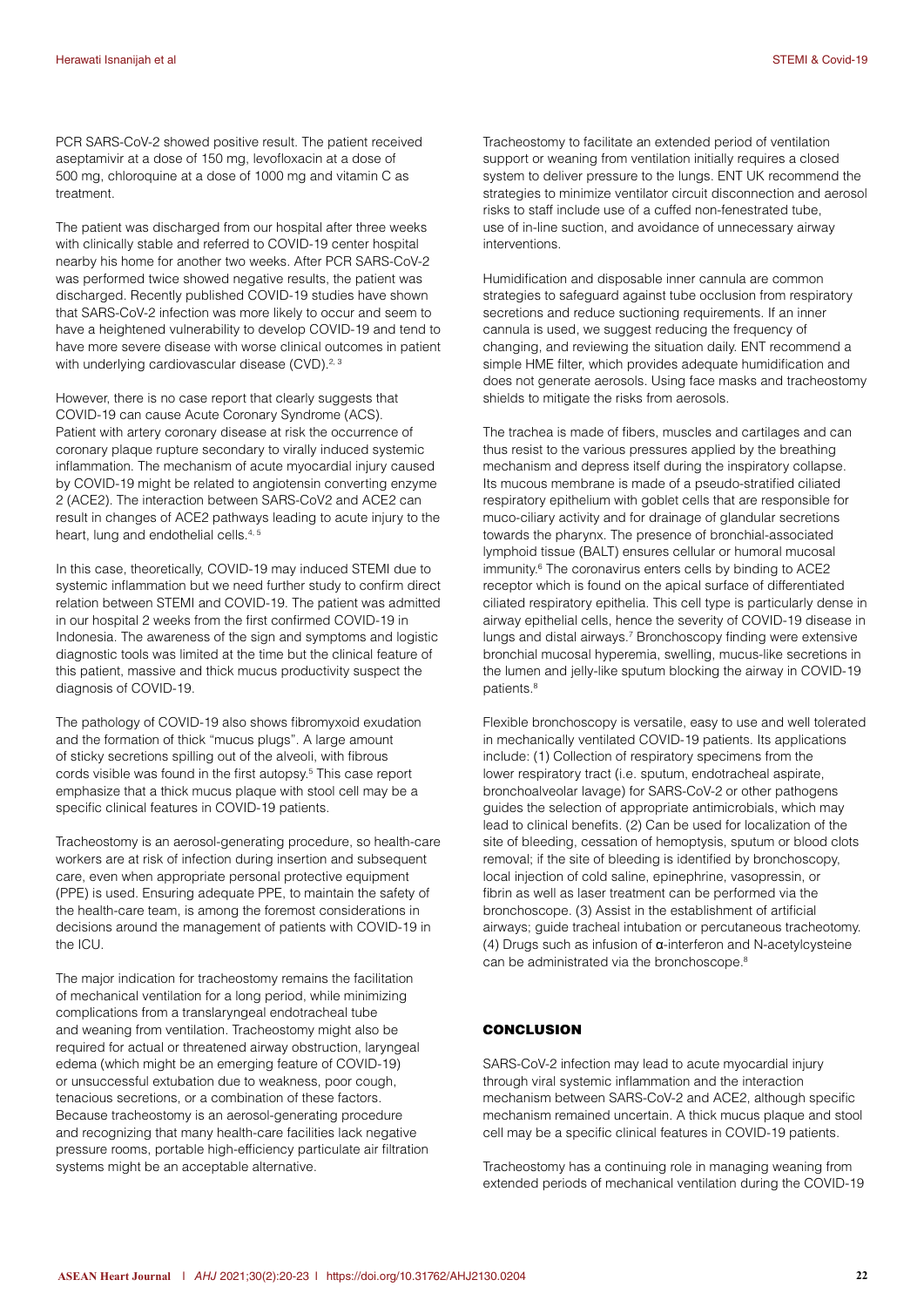PCR SARS-CoV-2 showed positive result. The patient received aseptamivir at a dose of 150 mg, levofloxacin at a dose of 500 mg, chloroquine at a dose of 1000 mg and vitamin C as treatment.

The patient was discharged from our hospital after three weeks with clinically stable and referred to COVID-19 center hospital nearby his home for another two weeks. After PCR SARS-CoV-2 was performed twice showed negative results, the patient was discharged. Recently published COVID-19 studies have shown that SARS-CoV-2 infection was more likely to occur and seem to have a heightened vulnerability to develop COVID-19 and tend to have more severe disease with worse clinical outcomes in patient with underlying cardiovascular disease (CVD).<sup>2, 3</sup>

However, there is no case report that clearly suggests that COVID-19 can cause Acute Coronary Syndrome (ACS). Patient with artery coronary disease at risk the occurrence of coronary plaque rupture secondary to virally induced systemic inflammation. The mechanism of acute myocardial injury caused by COVID-19 might be related to angiotensin converting enzyme 2 (ACE2). The interaction between SARS-CoV2 and ACE2 can result in changes of ACE2 pathways leading to acute injury to the heart, lung and endothelial cells.<sup>4, 5</sup>

In this case, theoretically, COVID-19 may induced STEMI due to systemic inflammation but we need further study to confirm direct relation between STEMI and COVID-19. The patient was admitted in our hospital 2 weeks from the first confirmed COVID-19 in Indonesia. The awareness of the sign and symptoms and logistic diagnostic tools was limited at the time but the clinical feature of this patient, massive and thick mucus productivity suspect the diagnosis of COVID-19.

The pathology of COVID-19 also shows fibromyxoid exudation and the formation of thick "mucus plugs". A large amount of sticky secretions spilling out of the alveoli, with fibrous cords visible was found in the first autopsy.<sup>5</sup> This case report emphasize that a thick mucus plaque with stool cell may be a specific clinical features in COVID-19 patients.

Tracheostomy is an aerosol-generating procedure, so health-care workers are at risk of infection during insertion and subsequent care, even when appropriate personal protective equipment (PPE) is used. Ensuring adequate PPE, to maintain the safety of the health-care team, is among the foremost considerations in decisions around the management of patients with COVID-19 in the ICU.

The major indication for tracheostomy remains the facilitation of mechanical ventilation for a long period, while minimizing complications from a translaryngeal endotracheal tube and weaning from ventilation. Tracheostomy might also be required for actual or threatened airway obstruction, laryngeal edema (which might be an emerging feature of COVID-19) or unsuccessful extubation due to weakness, poor cough, tenacious secretions, or a combination of these factors. Because tracheostomy is an aerosol-generating procedure and recognizing that many health-care facilities lack negative pressure rooms, portable high-efficiency particulate air filtration systems might be an acceptable alternative.

Tracheostomy to facilitate an extended period of ventilation support or weaning from ventilation initially requires a closed system to deliver pressure to the lungs. ENT UK recommend the strategies to minimize ventilator circuit disconnection and aerosol risks to staff include use of a cuffed non-fenestrated tube, use of in-line suction, and avoidance of unnecessary airway interventions.

Humidification and disposable inner cannula are common strategies to safeguard against tube occlusion from respiratory secretions and reduce suctioning requirements. If an inner cannula is used, we suggest reducing the frequency of changing, and reviewing the situation daily. ENT recommend a simple HME filter, which provides adequate humidification and does not generate aerosols. Using face masks and tracheostomy shields to mitigate the risks from aerosols.

The trachea is made of fibers, muscles and cartilages and can thus resist to the various pressures applied by the breathing mechanism and depress itself during the inspiratory collapse. Its mucous membrane is made of a pseudo-stratified ciliated respiratory epithelium with goblet cells that are responsible for muco-ciliary activity and for drainage of glandular secretions towards the pharynx. The presence of bronchial-associated lymphoid tissue (BALT) ensures cellular or humoral mucosal immunity.<sup>6</sup> The coronavirus enters cells by binding to ACE2 receptor which is found on the apical surface of differentiated ciliated respiratory epithelia. This cell type is particularly dense in airway epithelial cells, hence the severity of COVID-19 disease in lungs and distal airways.<sup>7</sup> Bronchoscopy finding were extensive bronchial mucosal hyperemia, swelling, mucus-like secretions in the lumen and jelly-like sputum blocking the airway in COVID-19 patients.<sup>8</sup>

Flexible bronchoscopy is versatile, easy to use and well tolerated in mechanically ventilated COVID-19 patients. Its applications include: (1) Collection of respiratory specimens from the lower respiratory tract (i.e. sputum, endotracheal aspirate, bronchoalveolar lavage) for SARS-CoV-2 or other pathogens guides the selection of appropriate antimicrobials, which may lead to clinical benefits. (2) Can be used for localization of the site of bleeding, cessation of hemoptysis, sputum or blood clots removal; if the site of bleeding is identified by bronchoscopy, local injection of cold saline, epinephrine, vasopressin, or fibrin as well as laser treatment can be performed via the bronchoscope. (3) Assist in the establishment of artificial airways; guide tracheal intubation or percutaneous tracheotomy. (4) Drugs such as infusion of α-interferon and N-acetylcysteine can be administrated via the bronchoscope.<sup>8</sup>

## **CONCLUSION**

SARS-CoV-2 infection may lead to acute myocardial injury through viral systemic inflammation and the interaction mechanism between SARS-CoV-2 and ACE2, although specific mechanism remained uncertain. A thick mucus plaque and stool cell may be a specific clinical features in COVID-19 patients.

Tracheostomy has a continuing role in managing weaning from extended periods of mechanical ventilation during the COVID-19